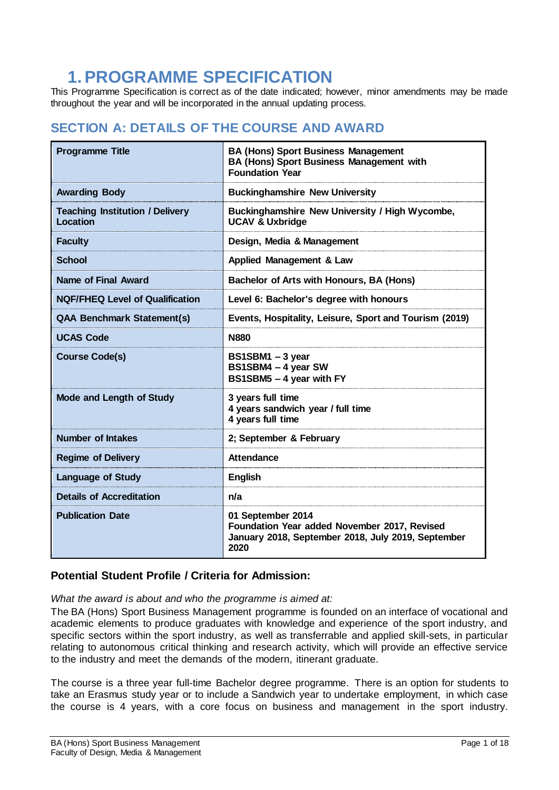# **1.PROGRAMME SPECIFICATION**

This Programme Specification is correct as of the date indicated; however, minor amendments may be made throughout the year and will be incorporated in the annual updating process.

# **SECTION A: DETAILS OF THE COURSE AND AWARD**

| <b>Programme Title</b>                             | <b>BA (Hons) Sport Business Management</b><br><b>BA (Hons) Sport Business Management with</b><br><b>Foundation Year</b>         |
|----------------------------------------------------|---------------------------------------------------------------------------------------------------------------------------------|
| <b>Awarding Body</b>                               | <b>Buckinghamshire New University</b>                                                                                           |
| <b>Teaching Institution / Delivery</b><br>Location | Buckinghamshire New University / High Wycombe,<br><b>UCAV &amp; Uxbridge</b>                                                    |
| <b>Faculty</b>                                     | Design, Media & Management                                                                                                      |
| <b>School</b>                                      | Applied Management & Law                                                                                                        |
| <b>Name of Final Award</b>                         | Bachelor of Arts with Honours, BA (Hons)                                                                                        |
| <b>NQF/FHEQ Level of Qualification</b>             | Level 6: Bachelor's degree with honours                                                                                         |
| <b>QAA Benchmark Statement(s)</b>                  | Events, Hospitality, Leisure, Sport and Tourism (2019)                                                                          |
| <b>UCAS Code</b>                                   | <b>N880</b>                                                                                                                     |
| <b>Course Code(s)</b>                              | BS1SBM1 - 3 year<br>BS1SBM4 - 4 year SW<br>BS1SBM5 - 4 year with FY                                                             |
| <b>Mode and Length of Study</b>                    | 3 years full time<br>4 years sandwich year / full time<br>4 years full time                                                     |
| <b>Number of Intakes</b>                           | 2; September & February                                                                                                         |
| <b>Regime of Delivery</b>                          | <b>Attendance</b>                                                                                                               |
| <b>Language of Study</b>                           | <b>English</b>                                                                                                                  |
| <b>Details of Accreditation</b>                    | n/a                                                                                                                             |
| <b>Publication Date</b>                            | 01 September 2014<br>Foundation Year added November 2017, Revised<br>January 2018, September 2018, July 2019, September<br>2020 |

### **Potential Student Profile / Criteria for Admission:**

*What the award is about and who the programme is aimed at:*

The BA (Hons) Sport Business Management programme is founded on an interface of vocational and academic elements to produce graduates with knowledge and experience of the sport industry, and specific sectors within the sport industry, as well as transferrable and applied skill-sets, in particular relating to autonomous critical thinking and research activity, which will provide an effective service to the industry and meet the demands of the modern, itinerant graduate.

The course is a three year full-time Bachelor degree programme. There is an option for students to take an Erasmus study year or to include a Sandwich year to undertake employment, in which case the course is 4 years, with a core focus on business and management in the sport industry.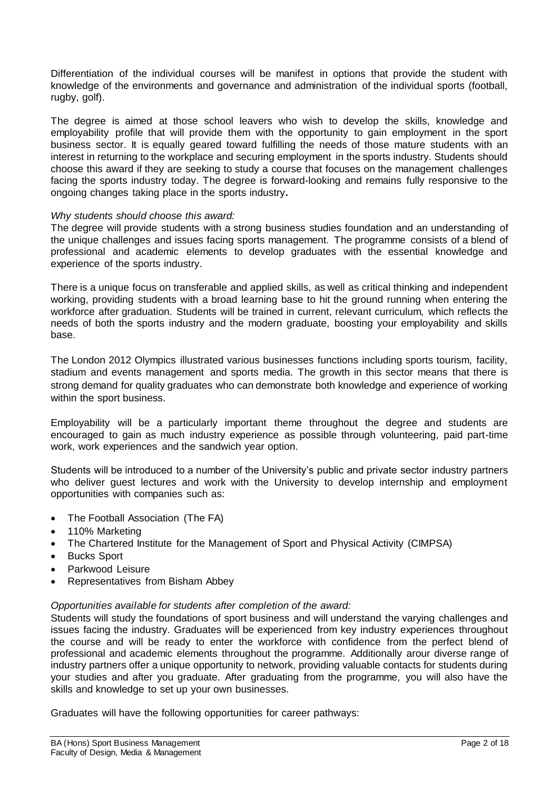Differentiation of the individual courses will be manifest in options that provide the student with knowledge of the environments and governance and administration of the individual sports (football, rugby, golf).

The degree is aimed at those school leavers who wish to develop the skills, knowledge and employability profile that will provide them with the opportunity to gain employment in the sport business sector. It is equally geared toward fulfilling the needs of those mature students with an interest in returning to the workplace and securing employment in the sports industry. Students should choose this award if they are seeking to study a course that focuses on the management challenges facing the sports industry today. The degree is forward-looking and remains fully responsive to the ongoing changes taking place in the sports industry**.**

#### *Why students should choose this award:*

The degree will provide students with a strong business studies foundation and an understanding of the unique challenges and issues facing sports management. The programme consists of a blend of professional and academic elements to develop graduates with the essential knowledge and experience of the sports industry.

There is a unique focus on transferable and applied skills, as well as critical thinking and independent working, providing students with a broad learning base to hit the ground running when entering the workforce after graduation. Students will be trained in current, relevant curriculum, which reflects the needs of both the sports industry and the modern graduate, boosting your employability and skills base.

The London 2012 Olympics illustrated various businesses functions including sports tourism, facility, stadium and events management and sports media. The growth in this sector means that there is strong demand for quality graduates who can demonstrate both knowledge and experience of working within the sport business.

Employability will be a particularly important theme throughout the degree and students are encouraged to gain as much industry experience as possible through volunteering, paid part-time work, work experiences and the sandwich year option.

Students will be introduced to a number of the University's public and private sector industry partners who deliver guest lectures and work with the University to develop internship and employment opportunities with companies such as:

- The Football Association (The FA)
- 110% Marketing
- The Chartered Institute for the Management of Sport and Physical Activity (CIMPSA)
- Bucks Sport
- Parkwood Leisure
- Representatives from Bisham Abbey

#### *Opportunities available for students after completion of the award:*

Students will study the foundations of sport business and will understand the varying challenges and issues facing the industry. Graduates will be experienced from key industry experiences throughout the course and will be ready to enter the workforce with confidence from the perfect blend of professional and academic elements throughout the programme. Additionally arour diverse range of industry partners offer a unique opportunity to network, providing valuable contacts for students during your studies and after you graduate. After graduating from the programme, you will also have the skills and knowledge to set up your own businesses.

Graduates will have the following opportunities for career pathways: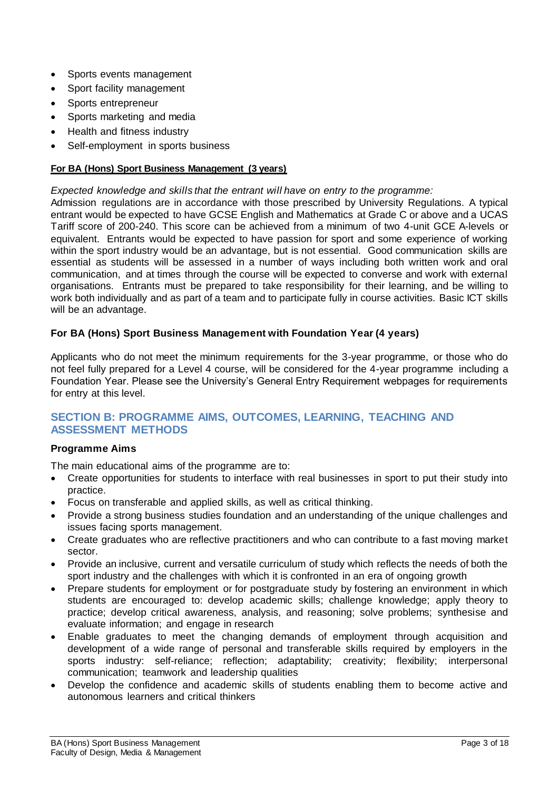- Sports events management
- Sport facility management
- Sports entrepreneur
- Sports marketing and media
- Health and fitness industry
- Self-employment in sports business

#### **For BA (Hons) Sport Business Management (3 years)**

*Expected knowledge and skills that the entrant will have on entry to the programme:*

Admission regulations are in accordance with those prescribed by University Regulations. A typical entrant would be expected to have GCSE English and Mathematics at Grade C or above and a UCAS Tariff score of 200-240. This score can be achieved from a minimum of two 4-unit GCE A-levels or equivalent. Entrants would be expected to have passion for sport and some experience of working within the sport industry would be an advantage, but is not essential. Good communication skills are essential as students will be assessed in a number of ways including both written work and oral communication, and at times through the course will be expected to converse and work with external organisations. Entrants must be prepared to take responsibility for their learning, and be willing to work both individually and as part of a team and to participate fully in course activities. Basic ICT skills will be an advantage.

#### **For BA (Hons) Sport Business Management with Foundation Year (4 years)**

Applicants who do not meet the minimum requirements for the 3-year programme, or those who do not feel fully prepared for a Level 4 course, will be considered for the 4-year programme including a Foundation Year. Please see the University's General Entry Requirement webpages for requirements for entry at this level.

#### **SECTION B: PROGRAMME AIMS, OUTCOMES, LEARNING, TEACHING AND ASSESSMENT METHODS**

#### **Programme Aims**

The main educational aims of the programme are to:

- Create opportunities for students to interface with real businesses in sport to put their study into practice.
- Focus on transferable and applied skills, as well as critical thinking.
- Provide a strong business studies foundation and an understanding of the unique challenges and issues facing sports management.
- Create graduates who are reflective practitioners and who can contribute to a fast moving market sector.
- Provide an inclusive, current and versatile curriculum of study which reflects the needs of both the sport industry and the challenges with which it is confronted in an era of ongoing growth
- Prepare students for employment or for postgraduate study by fostering an environment in which students are encouraged to: develop academic skills; challenge knowledge; apply theory to practice; develop critical awareness, analysis, and reasoning; solve problems; synthesise and evaluate information; and engage in research
- Enable graduates to meet the changing demands of employment through acquisition and development of a wide range of personal and transferable skills required by employers in the sports industry: self-reliance; reflection; adaptability; creativity; flexibility; interpersonal communication; teamwork and leadership qualities
- Develop the confidence and academic skills of students enabling them to become active and autonomous learners and critical thinkers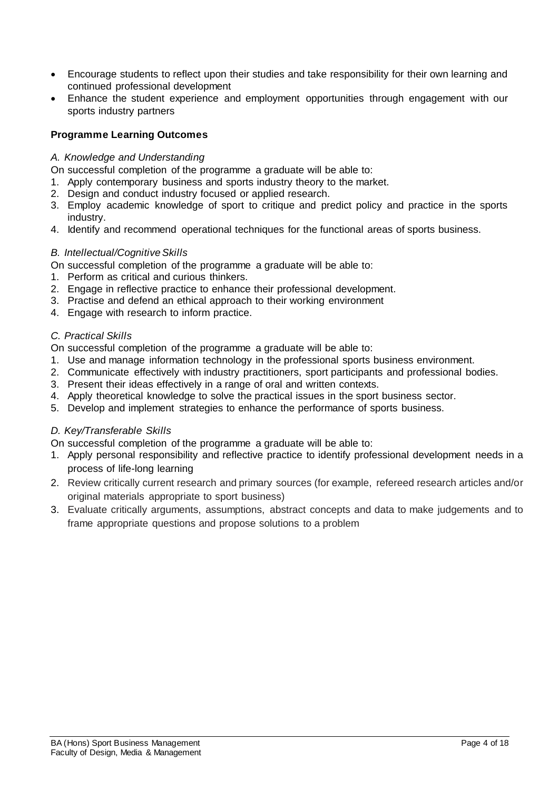- Encourage students to reflect upon their studies and take responsibility for their own learning and continued professional development
- Enhance the student experience and employment opportunities through engagement with our sports industry partners

#### **Programme Learning Outcomes**

#### *A. Knowledge and Understanding*

On successful completion of the programme a graduate will be able to:

- 1. Apply contemporary business and sports industry theory to the market.
- 2. Design and conduct industry focused or applied research.
- 3. Employ academic knowledge of sport to critique and predict policy and practice in the sports industry.
- 4. Identify and recommend operational techniques for the functional areas of sports business.

#### *B. Intellectual/Cognitive Skills*

On successful completion of the programme a graduate will be able to:

- 1. Perform as critical and curious thinkers.
- 2. Engage in reflective practice to enhance their professional development.
- 3. Practise and defend an ethical approach to their working environment
- 4. Engage with research to inform practice.

#### *C. Practical Skills*

On successful completion of the programme a graduate will be able to:

- 1. Use and manage information technology in the professional sports business environment.
- 2. Communicate effectively with industry practitioners, sport participants and professional bodies.
- 3. Present their ideas effectively in a range of oral and written contexts.
- 4. Apply theoretical knowledge to solve the practical issues in the sport business sector.
- 5. Develop and implement strategies to enhance the performance of sports business.

#### *D. Key/Transferable Skills*

On successful completion of the programme a graduate will be able to:

- 1. Apply personal responsibility and reflective practice to identify professional development needs in a process of life-long learning
- 2. Review critically current research and primary sources (for example, refereed research articles and/or original materials appropriate to sport business)
- 3. Evaluate critically arguments, assumptions, abstract concepts and data to make judgements and to frame appropriate questions and propose solutions to a problem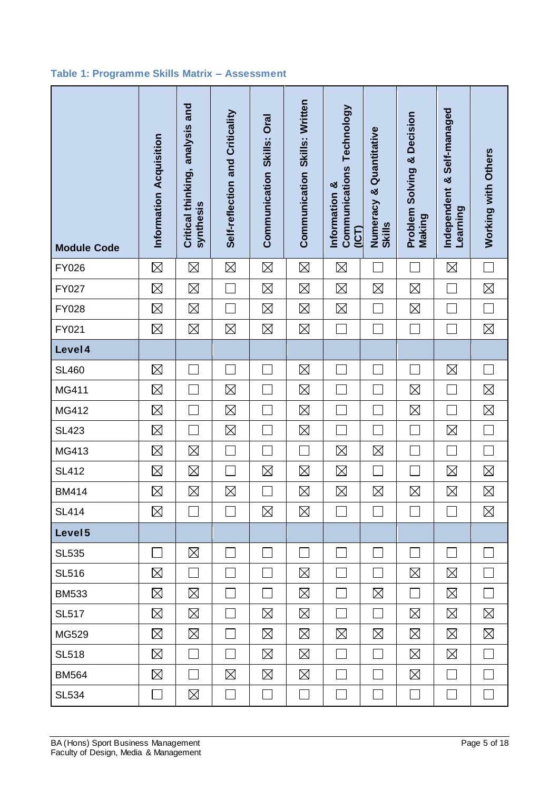### **Table 1: Programme Skills Matrix – Assessment**

| <b>Module Code</b> | Information Acquisition | Critical thinking, analysis and<br>synthesis | Self-reflection and Criticality | Oral<br>Skills:<br>Communication | Communication Skills: Written | Communications Technology<br>Information &<br><b>(ICT)</b> | Quantitative<br>×<br>Numeracy<br><b>Skills</b> | Decision<br>ಳ<br>Problem Solving<br>Making | Self-managed<br>×<br>Independent<br>Learning | Working with Others         |
|--------------------|-------------------------|----------------------------------------------|---------------------------------|----------------------------------|-------------------------------|------------------------------------------------------------|------------------------------------------------|--------------------------------------------|----------------------------------------------|-----------------------------|
| <b>FY026</b>       | $\boxtimes$             | $\boxtimes$                                  | $\boxtimes$                     | $\boxtimes$                      | $\boxtimes$                   | $\boxtimes$                                                |                                                |                                            | $\boxtimes$                                  |                             |
| FY027              | $\boxtimes$             | $\boxtimes$                                  |                                 | $\boxtimes$                      | $\boxtimes$                   | $\boxtimes$                                                | $\boxtimes$                                    | $\boxtimes$                                |                                              | $\boxtimes$                 |
| <b>FY028</b>       | $\boxtimes$             | $\boxtimes$                                  |                                 | $\boxtimes$                      | $\boxtimes$                   | $\boxtimes$                                                |                                                | $\boxtimes$                                |                                              | $\mathbb{R}^n$              |
| FY021              | $\boxtimes$             | $\boxtimes$                                  | $\boxtimes$                     | $\boxtimes$                      | $\boxtimes$                   | $\mathbf{I}$                                               |                                                |                                            |                                              | $\boxtimes$                 |
| Level 4            |                         |                                              |                                 |                                  |                               |                                                            |                                                |                                            |                                              |                             |
| <b>SL460</b>       | $\boxtimes$             |                                              |                                 |                                  | $\boxtimes$                   |                                                            |                                                |                                            | $\boxtimes$                                  |                             |
| MG411              | $\boxtimes$             |                                              | $\boxtimes$                     |                                  | $\boxtimes$                   |                                                            |                                                | $\boxtimes$                                | Ξ                                            | $\boxtimes$                 |
| MG412              | $\boxtimes$             |                                              | $\boxtimes$                     |                                  | $\boxtimes$                   |                                                            |                                                | $\boxtimes$                                |                                              | $\boxtimes$                 |
| <b>SL423</b>       | $\boxtimes$             |                                              | $\boxtimes$                     |                                  | $\boxtimes$                   |                                                            |                                                |                                            | $\boxtimes$                                  | $\mathcal{L}$               |
| MG413              | $\boxtimes$             | $\boxtimes$                                  |                                 |                                  |                               | $\boxtimes$                                                | $\boxtimes$                                    |                                            |                                              |                             |
| <b>SL412</b>       | $\boxtimes$             | $\boxtimes$                                  |                                 | $\boxtimes$                      | $\boxtimes$                   | $\boxtimes$                                                |                                                |                                            | $\boxtimes$                                  | $\boxtimes$                 |
| <b>BM414</b>       | $\boxtimes$             | $\boxtimes$                                  | $\boxtimes$                     |                                  | $\boxtimes$                   | $\boxtimes$                                                | $\boxtimes$                                    | $\boxtimes$                                | $\boxtimes$                                  | $\boxtimes$                 |
| <b>SL414</b>       | $\boxtimes$             |                                              |                                 | $\boxtimes$                      | $\boxtimes$                   |                                                            |                                                |                                            |                                              | $\boxtimes$                 |
| Level <sub>5</sub> |                         |                                              |                                 |                                  |                               |                                                            |                                                |                                            |                                              |                             |
| <b>SL535</b>       | $\mathcal{L}$           | $\boxtimes$                                  |                                 |                                  | $\mathcal{L}_{\mathcal{A}}$   | $\sim$                                                     |                                                |                                            |                                              |                             |
| <b>SL516</b>       | ⊠                       | l.                                           | L                               |                                  | $\boxtimes$                   | $\mathcal{L}_{\mathcal{A}}$                                |                                                | $\boxtimes$                                | $\boxtimes$                                  | $\mathbb{R}^n$              |
| <b>BM533</b>       | $\boxtimes$             | $\boxtimes$                                  | $\Box$                          | $\mathcal{L}_{\mathcal{A}}$      | $\boxtimes$                   | $\sim$                                                     | $\boxtimes$                                    | $\Box$                                     | $\boxtimes$                                  | $\Box$                      |
| <b>SL517</b>       | $\boxtimes$             | $\boxtimes$                                  |                                 | $\boxtimes$                      | $\boxtimes$                   |                                                            |                                                | $\boxtimes$                                | $\boxtimes$                                  | $\boxtimes$                 |
| MG529              | $\boxtimes$             | $\boxtimes$                                  |                                 | $\boxtimes$                      | $\boxtimes$                   | $\boxtimes$                                                | $\boxtimes$                                    | $\boxtimes$                                | $\boxtimes$                                  | $\boxtimes$                 |
| <b>SL518</b>       | $\boxtimes$             |                                              |                                 | $\boxtimes$                      | $\boxtimes$                   | ▔                                                          |                                                | $\boxtimes$                                | $\boxtimes$                                  |                             |
| <b>BM564</b>       | $\boxtimes$             |                                              | $\boxtimes$                     | $\boxtimes$                      | $\boxtimes$                   | $\mathbf{I}$                                               |                                                | $\boxtimes$                                | $\Box$                                       | $\mathcal{L}_{\mathcal{A}}$ |
| <b>SL534</b>       | $\blacksquare$          | $\boxtimes$                                  | $\mathcal{L}_{\mathcal{A}}$     | $\overline{\phantom{a}}$         | $\mathcal{L}_{\mathcal{A}}$   | $\overline{\phantom{a}}$                                   |                                                | $\mathbb{R}^n$                             | $\mathcal{L}_{\mathcal{A}}$                  | $\Box$                      |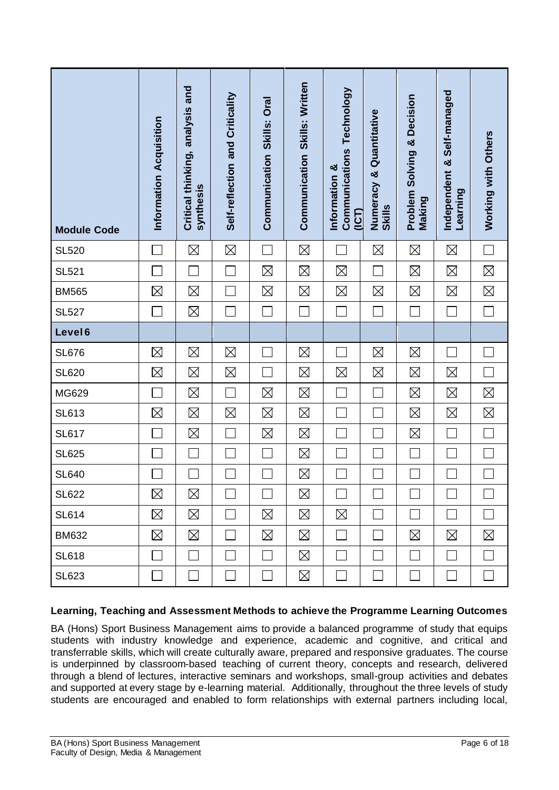| <b>Module Code</b> | Information Acquisition | Critical thinking, analysis and<br>synthesis | Self-reflection and Criticality | Communication Skills: Oral | Communication Skills: Written | <b>Communications Technology</b><br>Information &<br>(ICT) | Quantitative<br>×<br>Numeracy<br><b>Skills</b> | Solving & Decision<br>Problem<br>Making | Self-managed<br>Independent &<br>Learning | Working with Others |
|--------------------|-------------------------|----------------------------------------------|---------------------------------|----------------------------|-------------------------------|------------------------------------------------------------|------------------------------------------------|-----------------------------------------|-------------------------------------------|---------------------|
| <b>SL520</b>       |                         | $\boxtimes$                                  | $\boxtimes$                     |                            | $\boxtimes$                   |                                                            | $\boxtimes$                                    | $\boxtimes$                             | $\boxtimes$                               | $\mathcal{L}$       |
| <b>SL521</b>       |                         |                                              |                                 | $\boxtimes$                | $\boxtimes$                   | $\boxtimes$                                                |                                                | $\boxtimes$                             | $\boxtimes$                               | $\boxtimes$         |
| <b>BM565</b>       | $\boxtimes$             | $\boxtimes$                                  |                                 | $\boxtimes$                | $\boxtimes$                   | $\boxtimes$                                                | $\boxtimes$                                    | $\boxtimes$                             | $\boxtimes$                               | $\boxtimes$         |
| <b>SL527</b>       |                         | $\boxtimes$                                  |                                 |                            |                               |                                                            |                                                |                                         | J.                                        |                     |
| Level <sub>6</sub> |                         |                                              |                                 |                            |                               |                                                            |                                                |                                         |                                           |                     |
| <b>SL676</b>       | $\boxtimes$             | $\boxtimes$                                  | $\boxtimes$                     |                            | $\boxtimes$                   |                                                            | $\boxtimes$                                    | $\boxtimes$                             |                                           |                     |
| <b>SL620</b>       | $\boxtimes$             | $\boxtimes$                                  | $\boxtimes$                     |                            | $\boxtimes$                   | $\boxtimes$                                                | $\boxtimes$                                    | $\boxtimes$                             | $\boxtimes$                               |                     |
| MG629              |                         | $\boxtimes$                                  |                                 | $\boxtimes$                | $\boxtimes$                   |                                                            |                                                | $\boxtimes$                             | $\boxtimes$                               | $\boxtimes$         |
| <b>SL613</b>       | $\boxtimes$             | $\boxtimes$                                  | $\boxtimes$                     | $\boxtimes$                | $\boxtimes$                   |                                                            |                                                | $\boxtimes$                             | $\boxtimes$                               | $\boxtimes$         |
| <b>SL617</b>       |                         | $\boxtimes$                                  |                                 | $\boxtimes$                | $\boxtimes$                   |                                                            |                                                | $\boxtimes$                             | Ξ                                         | Ξ                   |
| <b>SL625</b>       |                         |                                              |                                 |                            | $\boxtimes$                   |                                                            |                                                |                                         |                                           |                     |
| <b>SL640</b>       |                         |                                              |                                 |                            | $\boxtimes$                   |                                                            |                                                |                                         |                                           |                     |
| <b>SL622</b>       | $\boxtimes$             | $\boxtimes$                                  |                                 |                            | $\boxtimes$                   |                                                            |                                                |                                         |                                           |                     |
| <b>SL614</b>       | $\boxtimes$             | $\boxtimes$                                  |                                 | $\boxtimes$                | $\boxtimes$                   | $\boxtimes$                                                |                                                |                                         |                                           |                     |
| <b>BM632</b>       | $\boxtimes$             | $\boxtimes$                                  |                                 | $\boxtimes$                | $\boxtimes$                   | П                                                          |                                                | $\boxtimes$                             | $\boxtimes$                               | $\boxtimes$         |
| <b>SL618</b>       |                         |                                              |                                 |                            | $\boxtimes$                   | L.                                                         |                                                |                                         |                                           |                     |
| <b>SL623</b>       | $\Box$                  |                                              |                                 | $\sim$                     | $\boxtimes$                   | $\Box$                                                     |                                                |                                         | $\mathcal{L}_{\mathcal{A}}$               | $\mathbf{I}$        |

#### **Learning, Teaching and Assessment Methods to achieve the Programme Learning Outcomes**

BA (Hons) Sport Business Management aims to provide a balanced programme of study that equips students with industry knowledge and experience, academic and cognitive, and critical and transferrable skills, which will create culturally aware, prepared and responsive graduates. The course is underpinned by classroom-based teaching of current theory, concepts and research, delivered through a blend of lectures, interactive seminars and workshops, small-group activities and debates and supported at every stage by e-learning material. Additionally, throughout the three levels of study students are encouraged and enabled to form relationships with external partners including local,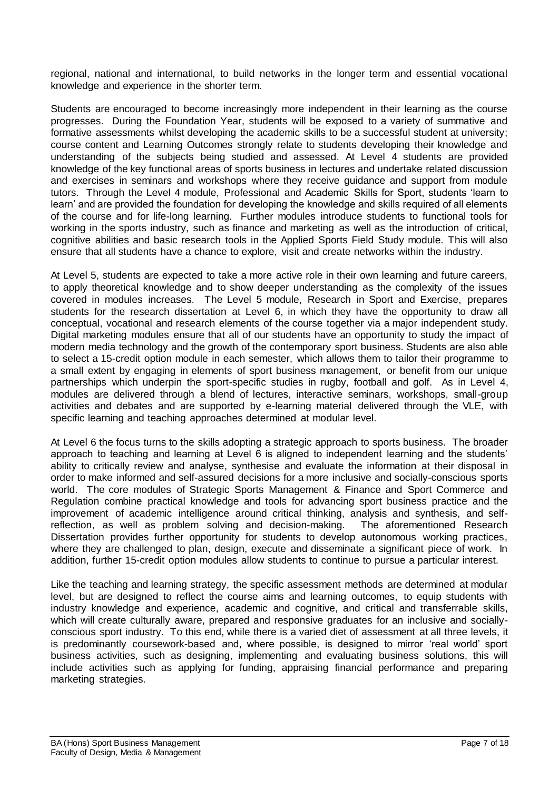regional, national and international, to build networks in the longer term and essential vocational knowledge and experience in the shorter term.

Students are encouraged to become increasingly more independent in their learning as the course progresses. During the Foundation Year, students will be exposed to a variety of summative and formative assessments whilst developing the academic skills to be a successful student at university; course content and Learning Outcomes strongly relate to students developing their knowledge and understanding of the subjects being studied and assessed. At Level 4 students are provided knowledge of the key functional areas of sports business in lectures and undertake related discussion and exercises in seminars and workshops where they receive guidance and support from module tutors. Through the Level 4 module, Professional and Academic Skills for Sport, students 'learn to learn' and are provided the foundation for developing the knowledge and skills required of all elements of the course and for life-long learning. Further modules introduce students to functional tools for working in the sports industry, such as finance and marketing as well as the introduction of critical, cognitive abilities and basic research tools in the Applied Sports Field Study module. This will also ensure that all students have a chance to explore, visit and create networks within the industry.

At Level 5, students are expected to take a more active role in their own learning and future careers, to apply theoretical knowledge and to show deeper understanding as the complexity of the issues covered in modules increases. The Level 5 module, Research in Sport and Exercise, prepares students for the research dissertation at Level 6, in which they have the opportunity to draw all conceptual, vocational and research elements of the course together via a major independent study. Digital marketing modules ensure that all of our students have an opportunity to study the impact of modern media technology and the growth of the contemporary sport business. Students are also able to select a 15-credit option module in each semester, which allows them to tailor their programme to a small extent by engaging in elements of sport business management, or benefit from our unique partnerships which underpin the sport-specific studies in rugby, football and golf. As in Level 4, modules are delivered through a blend of lectures, interactive seminars, workshops, small-group activities and debates and are supported by e-learning material delivered through the VLE, with specific learning and teaching approaches determined at modular level.

At Level 6 the focus turns to the skills adopting a strategic approach to sports business. The broader approach to teaching and learning at Level 6 is aligned to independent learning and the students' ability to critically review and analyse, synthesise and evaluate the information at their disposal in order to make informed and self-assured decisions for a more inclusive and socially-conscious sports world. The core modules of Strategic Sports Management & Finance and Sport Commerce and Regulation combine practical knowledge and tools for advancing sport business practice and the improvement of academic intelligence around critical thinking, analysis and synthesis, and selfreflection, as well as problem solving and decision-making. The aforementioned Research Dissertation provides further opportunity for students to develop autonomous working practices, where they are challenged to plan, design, execute and disseminate a significant piece of work. In addition, further 15-credit option modules allow students to continue to pursue a particular interest.

Like the teaching and learning strategy, the specific assessment methods are determined at modular level, but are designed to reflect the course aims and learning outcomes, to equip students with industry knowledge and experience, academic and cognitive, and critical and transferrable skills, which will create culturally aware, prepared and responsive graduates for an inclusive and sociallyconscious sport industry. To this end, while there is a varied diet of assessment at all three levels, it is predominantly coursework-based and, where possible, is designed to mirror 'real world' sport business activities, such as designing, implementing and evaluating business solutions, this will include activities such as applying for funding, appraising financial performance and preparing marketing strategies.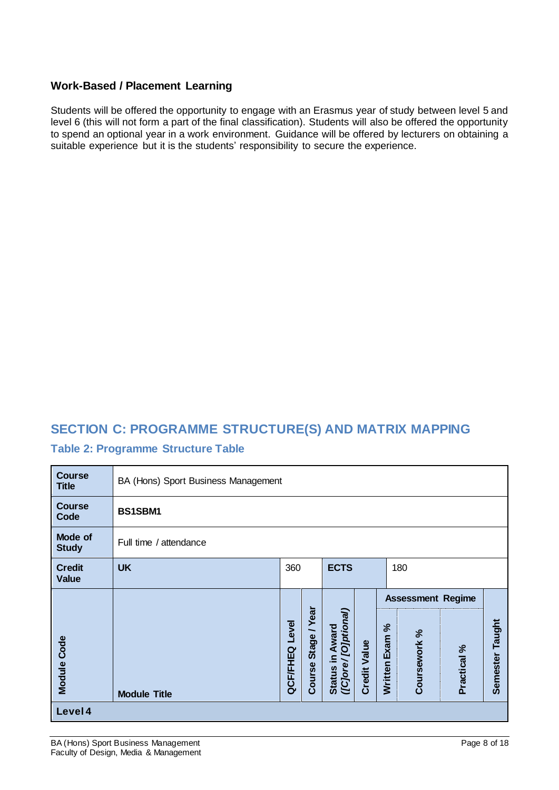#### **Work-Based / Placement Learning**

Students will be offered the opportunity to engage with an Erasmus year of study between level 5 and level 6 (this will not form a part of the final classification). Students will also be offered the opportunity to spend an optional year in a work environment. Guidance will be offered by lecturers on obtaining a suitable experience but it is the students' responsibility to secure the experience.

## **SECTION C: PROGRAMME STRUCTURE(S) AND MATRIX MAPPING**

#### **Table 2: Programme Structure Table**

| <b>Course</b><br><b>Title</b> | BA (Hons) Sport Business Management    |                                                                                                                                                                                                               |  |  |  |  |                          |  |  |
|-------------------------------|----------------------------------------|---------------------------------------------------------------------------------------------------------------------------------------------------------------------------------------------------------------|--|--|--|--|--------------------------|--|--|
| <b>Course</b><br>Code         | BS1SBM1                                |                                                                                                                                                                                                               |  |  |  |  |                          |  |  |
| Mode of<br><b>Study</b>       | Full time / attendance                 |                                                                                                                                                                                                               |  |  |  |  |                          |  |  |
| <b>Credit</b><br><b>Value</b> | <b>UK</b><br>360<br><b>ECTS</b><br>180 |                                                                                                                                                                                                               |  |  |  |  |                          |  |  |
|                               |                                        |                                                                                                                                                                                                               |  |  |  |  | <b>Assessment Regime</b> |  |  |
| Module Code                   | <b>Module Title</b>                    | Stage / Year<br>[O]ptional]<br>Taught<br>Level<br>న<br>Award<br>Coursework %<br>Written Exam<br><b>Credit Value</b><br>Practical %<br>QCF/FHEQ<br>Semester<br>$\equiv$<br>(ICjore/<br>Course<br><b>Status</b> |  |  |  |  |                          |  |  |
| Level 4                       |                                        |                                                                                                                                                                                                               |  |  |  |  |                          |  |  |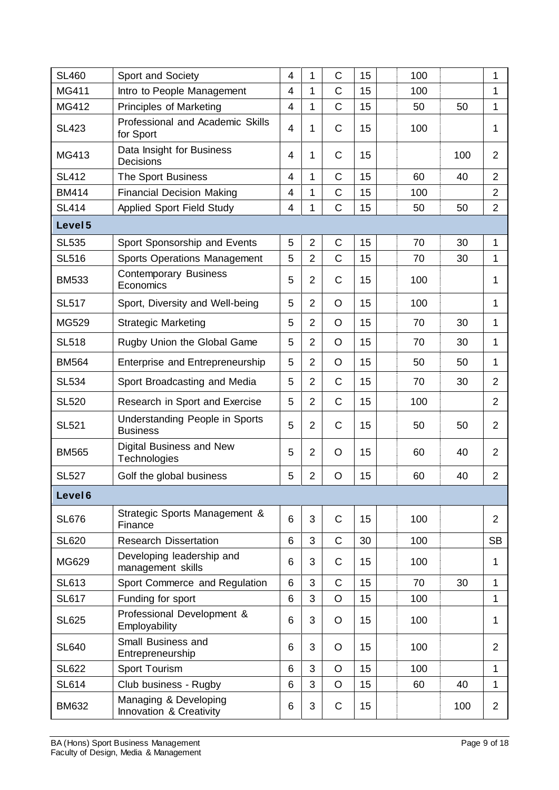| <b>SL460</b>       | Sport and Society                                 | 4 | 1              | $\mathsf C$    | 15 | 100 |     | 1              |
|--------------------|---------------------------------------------------|---|----------------|----------------|----|-----|-----|----------------|
| MG411              | Intro to People Management                        | 4 | 1              | $\mathsf C$    | 15 | 100 |     | 1              |
| MG412              | <b>Principles of Marketing</b>                    | 4 | 1              | $\overline{C}$ | 15 | 50  | 50  | 1              |
| <b>SL423</b>       | Professional and Academic Skills<br>for Sport     | 4 | 1              | $\mathsf{C}$   | 15 | 100 |     | 1              |
| MG413              | Data Insight for Business<br>Decisions            | 4 | 1              | $\mathsf{C}$   | 15 |     | 100 | $\overline{2}$ |
| <b>SL412</b>       | The Sport Business                                | 4 | 1              | $\mathsf C$    | 15 | 60  | 40  | $\overline{2}$ |
| <b>BM414</b>       | <b>Financial Decision Making</b>                  | 4 | 1              | $\mathsf C$    | 15 | 100 |     | $\overline{2}$ |
| <b>SL414</b>       | Applied Sport Field Study                         | 4 | 1              | $\overline{C}$ | 15 | 50  | 50  | $\overline{2}$ |
| Level 5            |                                                   |   |                |                |    |     |     |                |
| <b>SL535</b>       | Sport Sponsorship and Events                      | 5 | $\overline{2}$ | $\mathsf C$    | 15 | 70  | 30  | 1              |
| <b>SL516</b>       | Sports Operations Management                      | 5 | $\overline{2}$ | $\mathsf{C}$   | 15 | 70  | 30  | 1              |
| <b>BM533</b>       | <b>Contemporary Business</b><br>Economics         | 5 | $\overline{2}$ | $\mathsf{C}$   | 15 | 100 |     | 1              |
| <b>SL517</b>       | Sport, Diversity and Well-being                   | 5 | $\overline{2}$ | $\circ$        | 15 | 100 |     | 1              |
| <b>MG529</b>       | <b>Strategic Marketing</b>                        | 5 | $\overline{2}$ | O              | 15 | 70  | 30  | 1              |
| <b>SL518</b>       | Rugby Union the Global Game                       | 5 | $\overline{2}$ | $\circ$        | 15 | 70  | 30  | 1              |
| <b>BM564</b>       | <b>Enterprise and Entrepreneurship</b>            | 5 | $\overline{2}$ | O              | 15 | 50  | 50  | 1              |
| <b>SL534</b>       | Sport Broadcasting and Media                      | 5 | $\overline{2}$ | $\mathsf{C}$   | 15 | 70  | 30  | $\overline{2}$ |
| <b>SL520</b>       | Research in Sport and Exercise                    | 5 | $\overline{2}$ | $\mathsf{C}$   | 15 | 100 |     | $\overline{2}$ |
| <b>SL521</b>       | Understanding People in Sports<br><b>Business</b> | 5 | $\overline{2}$ | $\mathsf{C}$   | 15 | 50  | 50  | $\overline{2}$ |
| <b>BM565</b>       | Digital Business and New<br>Technologies          | 5 | $\overline{2}$ | O              | 15 | 60  | 40  | $\overline{2}$ |
| <b>SL527</b>       | Golf the global business                          | 5 | $\overline{2}$ | O              | 15 | 60  | 40  | $\overline{2}$ |
| Level <sub>6</sub> |                                                   |   |                |                |    |     |     |                |
| <b>SL676</b>       | Strategic Sports Management &<br>Finance          | 6 | 3              | $\mathsf{C}$   | 15 | 100 |     | $\overline{2}$ |
| <b>SL620</b>       | <b>Research Dissertation</b>                      | 6 | 3              | $\mathsf C$    | 30 | 100 |     | <b>SB</b>      |
| MG629              | Developing leadership and<br>management skills    | 6 | 3              | $\mathsf{C}$   | 15 | 100 |     | 1              |
| <b>SL613</b>       | Sport Commerce and Regulation                     | 6 | 3              | $\mathsf{C}$   | 15 | 70  | 30  | 1              |
| <b>SL617</b>       | Funding for sport                                 | 6 | 3              | O              | 15 | 100 |     | 1              |
| <b>SL625</b>       | Professional Development &<br>Employability       | 6 | 3              | O              | 15 | 100 |     | 1              |
| <b>SL640</b>       | Small Business and<br>Entrepreneurship            | 6 | 3              | O              | 15 | 100 |     | $\overline{2}$ |
| <b>SL622</b>       | Sport Tourism                                     | 6 | 3              | $\circ$        | 15 | 100 |     | 1              |
| <b>SL614</b>       | Club business - Rugby                             | 6 | 3              | $\circ$        | 15 | 60  | 40  | 1              |
| <b>BM632</b>       | Managing & Developing<br>Innovation & Creativity  | 6 | 3              | C              | 15 |     | 100 | $\overline{2}$ |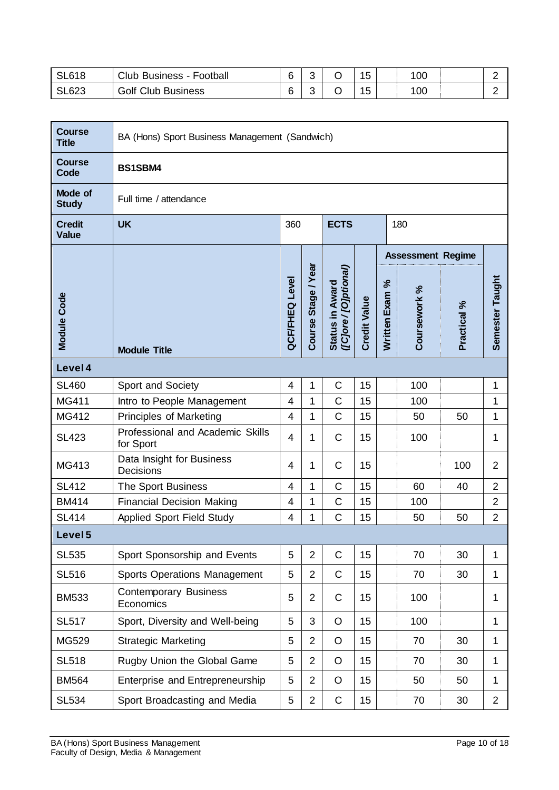| <b>SL618</b> | Club<br><b>Business - Football</b> | ⌒      | r<br>$\mathbf{r}$ | $\overline{A}$ | 100 |  |
|--------------|------------------------------------|--------|-------------------|----------------|-----|--|
| SL623        | <b>Golf Club Business</b>          | $\sim$ | r                 | 1F             | 100 |  |

| <b>Course</b><br><b>Title</b> | BA (Hons) Sport Business Management (Sandwich) |                          |                     |                                        |                     |                |                          |             |                 |  |  |
|-------------------------------|------------------------------------------------|--------------------------|---------------------|----------------------------------------|---------------------|----------------|--------------------------|-------------|-----------------|--|--|
| <b>Course</b><br>Code         | BS1SBM4                                        |                          |                     |                                        |                     |                |                          |             |                 |  |  |
| Mode of<br><b>Study</b>       | Full time / attendance                         |                          |                     |                                        |                     |                |                          |             |                 |  |  |
| <b>Credit</b><br><b>Value</b> | <b>UK</b><br><b>ECTS</b><br>360<br>180         |                          |                     |                                        |                     |                |                          |             |                 |  |  |
|                               |                                                |                          |                     |                                        |                     |                | <b>Assessment Regime</b> |             |                 |  |  |
| Module Code                   | <b>Module Title</b>                            | <b>QCF/FHEQ Level</b>    | Course Stage / Year | Status in Award<br>([C]ore/[O]ptional) | <b>Credit Value</b> | Written Exam % | Coursework %             | Practical % | Semester Taught |  |  |
| Level 4                       |                                                |                          |                     |                                        |                     |                |                          |             |                 |  |  |
| <b>SL460</b>                  | Sport and Society                              | $\overline{4}$           | 1                   | $\mathsf C$                            | 15                  |                | 100                      |             | 1               |  |  |
| MG411                         | Intro to People Management                     | $\overline{\mathcal{A}}$ | 1                   | C                                      | 15                  |                | 100                      |             | 1               |  |  |
| MG412                         | Principles of Marketing                        | 4                        | 1                   | $\mathsf C$                            | 15                  |                | 50                       | 50          | 1               |  |  |
| <b>SL423</b>                  | Professional and Academic Skills<br>for Sport  | 4                        | 1                   | $\mathsf{C}$                           | 15                  |                | 100                      |             | 1               |  |  |
| MG413                         | Data Insight for Business<br>Decisions         | 4                        | 1                   | $\mathsf{C}$                           | 15                  |                |                          | 100         | $\overline{2}$  |  |  |
| <b>SL412</b>                  | The Sport Business                             | $\overline{4}$           | 1                   | C                                      | 15                  |                | 60                       | 40          | $\overline{2}$  |  |  |
| <b>BM414</b>                  | <b>Financial Decision Making</b>               | 4                        | 1                   | C                                      | 15                  |                | 100                      |             | $\overline{2}$  |  |  |
| <b>SL414</b>                  | <b>Applied Sport Field Study</b>               | 4                        | 1                   | C                                      | 15                  |                | 50                       | 50          | $\overline{2}$  |  |  |
| Level <sub>5</sub>            |                                                |                          |                     |                                        |                     |                |                          |             |                 |  |  |
| <b>SL535</b>                  | Sport Sponsorship and Events                   | 5                        | $\overline{2}$      | C                                      | 15                  |                | 70                       | 30          | 1               |  |  |
| <b>SL516</b>                  | <b>Sports Operations Management</b>            | 5                        | $\overline{2}$      | $\mathsf C$                            | 15                  |                | 70                       | 30          | 1               |  |  |
| <b>BM533</b>                  | <b>Contemporary Business</b><br>Economics      | 5                        | $\overline{2}$      | $\mathsf{C}$                           | 15                  |                | 100                      |             | 1               |  |  |
| <b>SL517</b>                  | Sport, Diversity and Well-being                | 5                        | 3                   | $\circ$                                | 15                  |                | 100                      |             | $\mathbf 1$     |  |  |
| MG529                         | <b>Strategic Marketing</b>                     | 5                        | $\overline{2}$      | O                                      | 15                  |                | 70                       | 30          | $\mathbf{1}$    |  |  |
| <b>SL518</b>                  | Rugby Union the Global Game                    | 5                        | $\overline{2}$      | O                                      | 15                  |                | 70                       | 30          | $\mathbf 1$     |  |  |
| <b>BM564</b>                  | Enterprise and Entrepreneurship                | 5                        | $\overline{2}$      | O                                      | 15                  |                | 50                       | 50          | $\mathbf{1}$    |  |  |
| <b>SL534</b>                  | Sport Broadcasting and Media                   | 5                        | $\sqrt{2}$          | $\mathsf C$                            | 15                  |                | 70                       | 30          | $\overline{2}$  |  |  |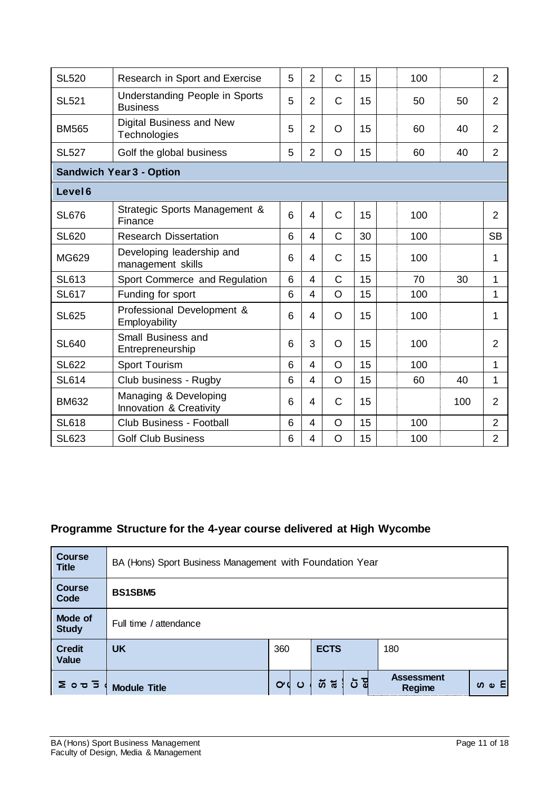| <b>SL520</b>                    | Research in Sport and Exercise                    | 5 | $\overline{2}$           | C            | 15 |  | 100 |     | $\overline{2}$ |
|---------------------------------|---------------------------------------------------|---|--------------------------|--------------|----|--|-----|-----|----------------|
| <b>SL521</b>                    | Understanding People in Sports<br><b>Business</b> | 5 | $\overline{2}$           | $\mathsf{C}$ | 15 |  | 50  | 50  | $\overline{2}$ |
| <b>BM565</b>                    | Digital Business and New<br>Technologies          | 5 | $\overline{2}$           | O            | 15 |  | 60  | 40  | $\overline{2}$ |
| <b>SL527</b>                    | Golf the global business                          | 5 | $\overline{2}$           | $\circ$      | 15 |  | 60  | 40  | $\overline{2}$ |
| <b>Sandwich Year 3 - Option</b> |                                                   |   |                          |              |    |  |     |     |                |
| Level <sub>6</sub>              |                                                   |   |                          |              |    |  |     |     |                |
| <b>SL676</b>                    | Strategic Sports Management &<br>Finance          | 6 | $\overline{4}$           | C            | 15 |  | 100 |     | $\overline{2}$ |
| <b>SL620</b>                    | <b>Research Dissertation</b>                      | 6 | 4                        | $\mathsf{C}$ | 30 |  | 100 |     | <b>SB</b>      |
| MG629                           | Developing leadership and<br>management skills    | 6 | 4                        | C            | 15 |  | 100 |     | 1              |
| <b>SL613</b>                    | Sport Commerce and Regulation                     | 6 | 4                        | $\mathbf C$  | 15 |  | 70  | 30  | 1              |
| <b>SL617</b>                    | Funding for sport                                 | 6 | $\overline{4}$           | $\circ$      | 15 |  | 100 |     | 1              |
| <b>SL625</b>                    | Professional Development &<br>Employability       | 6 | $\overline{\mathcal{A}}$ | $\circ$      | 15 |  | 100 |     | 1              |
| <b>SL640</b>                    | Small Business and<br>Entrepreneurship            | 6 | 3                        | $\circ$      | 15 |  | 100 |     | $\overline{2}$ |
| <b>SL622</b>                    | Sport Tourism                                     | 6 | 4                        | O            | 15 |  | 100 |     | 1              |
| <b>SL614</b>                    | Club business - Rugby                             | 6 | $\overline{4}$           | $\circ$      | 15 |  | 60  | 40  | 1              |
| <b>BM632</b>                    | Managing & Developing<br>Innovation & Creativity  | 6 | 4                        | $\mathsf{C}$ | 15 |  |     | 100 | $\overline{2}$ |
| <b>SL618</b>                    | <b>Club Business - Football</b>                   | 6 | $\overline{\mathcal{A}}$ | $\circ$      | 15 |  | 100 |     | $\overline{2}$ |
| <b>SL623</b>                    | <b>Golf Club Business</b>                         | 6 | $\overline{4}$           | O            | 15 |  | 100 |     | $\overline{2}$ |

# **Programme Structure for the 4-year course delivered at High Wycombe**

| <b>Course</b><br><b>Title</b> | BA (Hons) Sport Business Management with Foundation Year |             |               |                             |               |  |  |  |  |  |
|-------------------------------|----------------------------------------------------------|-------------|---------------|-----------------------------|---------------|--|--|--|--|--|
| <b>Course</b><br>Code         | <b>BS1SBM5</b>                                           |             |               |                             |               |  |  |  |  |  |
| Mode of<br><b>Study</b>       | Full time / attendance                                   |             |               |                             |               |  |  |  |  |  |
| <b>Credit</b><br><b>Value</b> | <b>UK</b>                                                | 360         | <b>ECTS</b>   | 180                         |               |  |  |  |  |  |
| 200J                          | <b>Module Title</b>                                      | <b>o</b> dပ | ් යි<br>. ಸ ಸ | <b>Assessment</b><br>Regime | ທ $\omega$ Ει |  |  |  |  |  |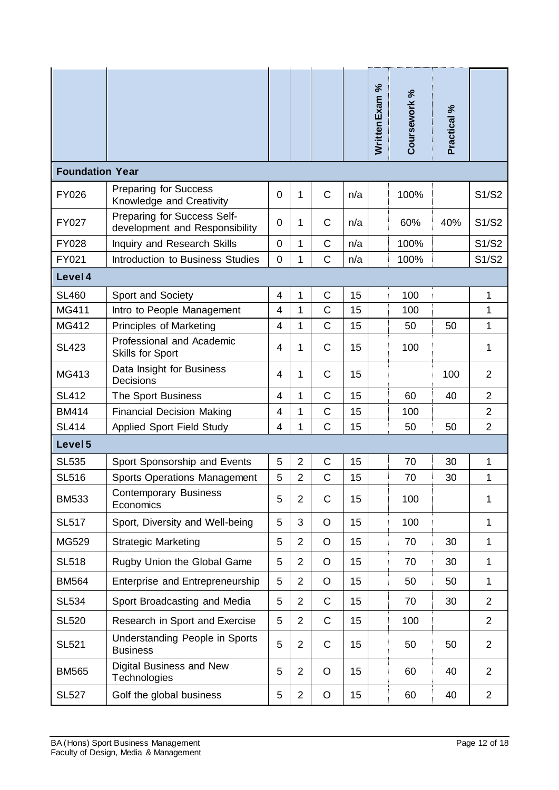|                        |                                                               |                |                |                |     | Written Exam % | Coursework % | Practical % |                |
|------------------------|---------------------------------------------------------------|----------------|----------------|----------------|-----|----------------|--------------|-------------|----------------|
| <b>Foundation Year</b> |                                                               |                |                |                |     |                |              |             |                |
| <b>FY026</b>           | <b>Preparing for Success</b><br>Knowledge and Creativity      | $\overline{0}$ | 1              | $\mathsf{C}$   | n/a |                | 100%         |             | S1/S2          |
| <b>FY027</b>           | Preparing for Success Self-<br>development and Responsibility | $\mathbf 0$    | 1              | $\mathsf{C}$   | n/a |                | 60%          | 40%         | S1/S2          |
| <b>FY028</b>           | Inquiry and Research Skills                                   | $\overline{0}$ | $\mathbf{1}$   | C              | n/a |                | 100%         |             | S1/S2          |
| FY021                  | Introduction to Business Studies                              | $\mathbf{0}$   | 1              | C              | n/a |                | 100%         |             | S1/S2          |
| Level 4                |                                                               |                |                |                |     |                |              |             |                |
| <b>SL460</b>           | Sport and Society                                             | $\overline{4}$ | $\mathbf{1}$   | $\overline{C}$ | 15  |                | 100          |             | 1              |
| MG411                  | Intro to People Management                                    | $\overline{4}$ | 1              | C              | 15  |                | 100          |             | 1              |
| MG412                  | Principles of Marketing                                       | 4              | 1              | C              | 15  |                | 50           | 50          | 1              |
| <b>SL423</b>           | Professional and Academic<br>Skills for Sport                 | 4              | 1              | C              | 15  |                | 100          |             | 1              |
| MG413                  | Data Insight for Business<br>Decisions                        | 4              | 1              | C              | 15  |                |              | 100         | $\overline{2}$ |
| <b>SL412</b>           | The Sport Business                                            | $\overline{4}$ | $\mathbf{1}$   | C              | 15  |                | 60           | 40          | $\overline{2}$ |
| <b>BM414</b>           | <b>Financial Decision Making</b>                              | $\overline{4}$ | 1              | C              | 15  |                | 100          |             | $\overline{2}$ |
| <b>SL414</b>           | <b>Applied Sport Field Study</b>                              | 4              | 1              | C              | 15  |                | 50           | 50          | $\overline{2}$ |
| Level <sub>5</sub>     |                                                               |                |                |                |     |                |              |             |                |
| <b>SL535</b>           | Sport Sponsorship and Events                                  | 5              | $\overline{2}$ | C              | 15  |                | 70           | 30          | 1              |
| <b>SL516</b>           | <b>Sports Operations Management</b>                           | 5              | $\overline{2}$ | C              | 15  |                | 70           | 30          | 1              |
| <b>BM533</b>           | <b>Contemporary Business</b><br>Economics                     | 5              | $\overline{2}$ | C              | 15  |                | 100          |             | 1              |
| <b>SL517</b>           | Sport, Diversity and Well-being                               | 5              | 3              | $\circ$        | 15  |                | 100          |             | $\mathbf{1}$   |
| MG529                  | <b>Strategic Marketing</b>                                    | 5              | $\overline{2}$ | $\circ$        | 15  |                | 70           | 30          | 1              |
| <b>SL518</b>           | Rugby Union the Global Game                                   | 5              | $\overline{2}$ | $\circ$        | 15  |                | 70           | 30          | $\mathbf{1}$   |
| <b>BM564</b>           | Enterprise and Entrepreneurship                               | 5              | $\overline{2}$ | $\circ$        | 15  |                | 50           | 50          | 1              |
| <b>SL534</b>           | Sport Broadcasting and Media                                  | 5              | $\overline{2}$ | C              | 15  |                | 70           | 30          | $\overline{2}$ |
| <b>SL520</b>           | Research in Sport and Exercise                                | 5              | $\overline{2}$ | C              | 15  |                | 100          |             | $\overline{2}$ |
| <b>SL521</b>           | Understanding People in Sports<br><b>Business</b>             | 5              | $\overline{2}$ | $\mathsf C$    | 15  |                | 50           | 50          | $\overline{2}$ |
| <b>BM565</b>           | Digital Business and New<br>Technologies                      | 5              | $\overline{2}$ | O              | 15  |                | 60           | 40          | $\overline{2}$ |
| <b>SL527</b>           | Golf the global business                                      | 5              | $\overline{2}$ | O              | 15  |                | 60           | 40          | $\overline{2}$ |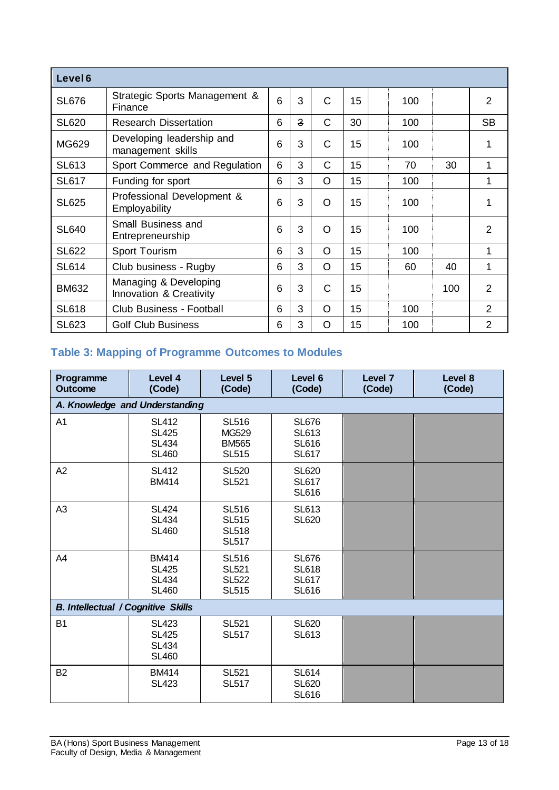| Level <sub>6</sub> |                                                  |   |                |   |    |     |     |                |
|--------------------|--------------------------------------------------|---|----------------|---|----|-----|-----|----------------|
| <b>SL676</b>       | Strategic Sports Management &<br>Finance         | 6 | 3              | C | 15 | 100 |     | $\overline{2}$ |
| <b>SL620</b>       | <b>Research Dissertation</b>                     | 6 | $\overline{3}$ | C | 30 | 100 |     | <b>SB</b>      |
| MG629              | Developing leadership and<br>management skills   | 6 | 3              | C | 15 | 100 |     | 1              |
| <b>SL613</b>       | Sport Commerce and Regulation                    | 6 | 3              | С | 15 | 70  | 30  | 1              |
| <b>SL617</b>       | Funding for sport                                | 6 | 3              | O | 15 | 100 |     | 1              |
| <b>SL625</b>       | Professional Development &<br>Employability      | 6 | 3              | O | 15 | 100 |     | 1              |
| <b>SL640</b>       | Small Business and<br>Entrepreneurship           | 6 | 3              | O | 15 | 100 |     | $\overline{2}$ |
| <b>SL622</b>       | Sport Tourism                                    | 6 | 3              | O | 15 | 100 |     | 1              |
| <b>SL614</b>       | Club business - Rugby                            | 6 | 3              | O | 15 | 60  | 40  | 1              |
| <b>BM632</b>       | Managing & Developing<br>Innovation & Creativity | 6 | 3              | С | 15 |     | 100 | $\overline{2}$ |
| <b>SL618</b>       | Club Business - Football                         | 6 | 3              | O | 15 | 100 |     | $\overline{2}$ |
| <b>SL623</b>       | <b>Golf Club Business</b>                        | 6 | 3              | O | 15 | 100 |     | $\overline{2}$ |

# **Table 3: Mapping of Programme Outcomes to Modules**

| Programme<br><b>Outcome</b>               | Level 4<br>(Code)                                            | Level 5<br>(Code)                                            | Level 6<br>(Code)                                            | Level 7<br>(Code) | Level 8<br>(Code) |
|-------------------------------------------|--------------------------------------------------------------|--------------------------------------------------------------|--------------------------------------------------------------|-------------------|-------------------|
| A. Knowledge and Understanding            |                                                              |                                                              |                                                              |                   |                   |
| A1                                        | <b>SL412</b><br><b>SL425</b><br><b>SL434</b><br><b>SL460</b> | <b>SL516</b><br>MG529<br><b>BM565</b><br><b>SL515</b>        | <b>SL676</b><br><b>SL613</b><br><b>SL616</b><br><b>SL617</b> |                   |                   |
| A2                                        | <b>SL412</b><br><b>BM414</b>                                 | <b>SL520</b><br><b>SL521</b>                                 | <b>SL620</b><br><b>SL617</b><br><b>SL616</b>                 |                   |                   |
| A3                                        | <b>SL424</b><br><b>SL434</b><br><b>SL460</b>                 | <b>SL516</b><br><b>SL515</b><br><b>SL518</b><br><b>SL517</b> | <b>SL613</b><br><b>SL620</b>                                 |                   |                   |
| A4                                        | <b>BM414</b><br><b>SL425</b><br><b>SL434</b><br><b>SL460</b> | <b>SL516</b><br><b>SL521</b><br><b>SL522</b><br><b>SL515</b> | <b>SL676</b><br><b>SL618</b><br><b>SL617</b><br><b>SL616</b> |                   |                   |
| <b>B. Intellectual / Cognitive Skills</b> |                                                              |                                                              |                                                              |                   |                   |
| <b>B1</b>                                 | <b>SL423</b><br><b>SL425</b><br><b>SL434</b><br><b>SL460</b> | <b>SL521</b><br><b>SL517</b>                                 | <b>SL620</b><br><b>SL613</b>                                 |                   |                   |
| <b>B2</b>                                 | <b>BM414</b><br><b>SL423</b>                                 | <b>SL521</b><br><b>SL517</b>                                 | <b>SL614</b><br><b>SL620</b><br><b>SL616</b>                 |                   |                   |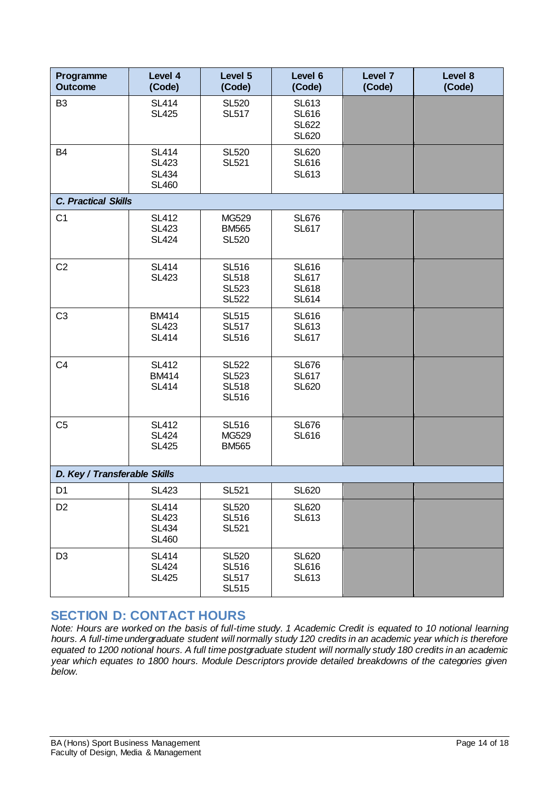| Programme<br><b>Outcome</b>  | Level 4<br>(Code)                                            | Level 5<br>(Code)                                            | Level 6<br>(Code)                                            | Level 7<br>(Code) | Level 8<br>(Code) |
|------------------------------|--------------------------------------------------------------|--------------------------------------------------------------|--------------------------------------------------------------|-------------------|-------------------|
| B <sub>3</sub>               | <b>SL414</b><br><b>SL425</b>                                 | <b>SL520</b><br><b>SL517</b>                                 | <b>SL613</b><br><b>SL616</b><br><b>SL622</b><br><b>SL620</b> |                   |                   |
| B <sub>4</sub>               | <b>SL414</b><br><b>SL423</b><br><b>SL434</b><br><b>SL460</b> | <b>SL520</b><br><b>SL521</b>                                 | <b>SL620</b><br><b>SL616</b><br><b>SL613</b>                 |                   |                   |
| <b>C. Practical Skills</b>   |                                                              |                                                              |                                                              |                   |                   |
| C <sub>1</sub>               | <b>SL412</b><br><b>SL423</b><br><b>SL424</b>                 | MG529<br><b>BM565</b><br><b>SL520</b>                        | <b>SL676</b><br><b>SL617</b>                                 |                   |                   |
| C <sub>2</sub>               | <b>SL414</b><br><b>SL423</b>                                 | <b>SL516</b><br><b>SL518</b><br><b>SL523</b><br><b>SL522</b> | <b>SL616</b><br><b>SL617</b><br><b>SL618</b><br><b>SL614</b> |                   |                   |
| C <sub>3</sub>               | <b>BM414</b><br><b>SL423</b><br><b>SL414</b>                 | <b>SL515</b><br><b>SL517</b><br><b>SL516</b>                 | <b>SL616</b><br><b>SL613</b><br><b>SL617</b>                 |                   |                   |
| C <sub>4</sub>               | <b>SL412</b><br><b>BM414</b><br><b>SL414</b>                 | <b>SL522</b><br><b>SL523</b><br><b>SL518</b><br><b>SL516</b> | <b>SL676</b><br><b>SL617</b><br><b>SL620</b>                 |                   |                   |
| C <sub>5</sub>               | <b>SL412</b><br><b>SL424</b><br><b>SL425</b>                 | <b>SL516</b><br>MG529<br><b>BM565</b>                        | <b>SL676</b><br><b>SL616</b>                                 |                   |                   |
| D. Key / Transferable Skills |                                                              |                                                              |                                                              |                   |                   |
| D <sub>1</sub>               | <b>SL423</b>                                                 | <b>SL521</b>                                                 | <b>SL620</b>                                                 |                   |                   |
| D <sub>2</sub>               | <b>SL414</b><br><b>SL423</b><br><b>SL434</b><br><b>SL460</b> | <b>SL520</b><br><b>SL516</b><br><b>SL521</b>                 | <b>SL620</b><br><b>SL613</b>                                 |                   |                   |
| D <sub>3</sub>               | <b>SL414</b><br><b>SL424</b><br><b>SL425</b>                 | <b>SL520</b><br><b>SL516</b><br><b>SL517</b><br><b>SL515</b> | <b>SL620</b><br><b>SL616</b><br><b>SL613</b>                 |                   |                   |

## **SECTION D: CONTACT HOURS**

*Note: Hours are worked on the basis of full-time study. 1 Academic Credit is equated to 10 notional learning hours. A full-time undergraduate student will normally study 120 credits in an academic year which is therefore equated to 1200 notional hours. A full time postgraduate student will normally study 180 credits in an academic year which equates to 1800 hours. Module Descriptors provide detailed breakdowns of the categories given below.*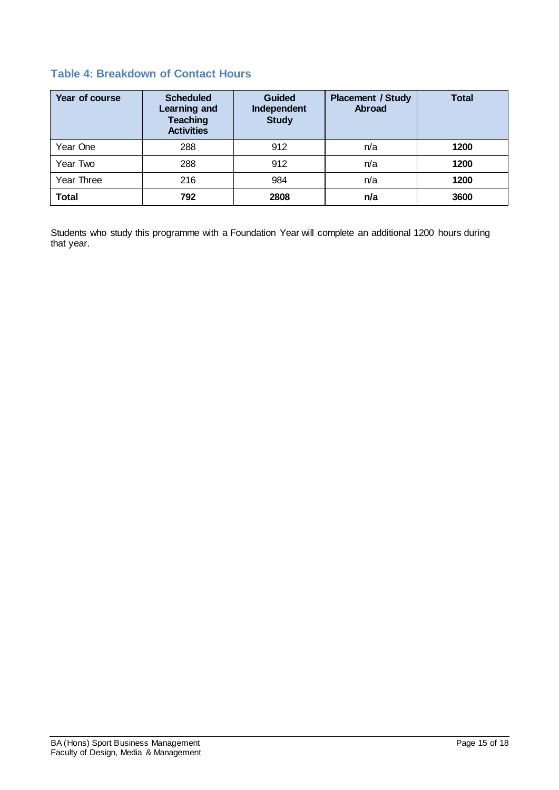# **Table 4: Breakdown of Contact Hours**

| Year of course | <b>Scheduled</b><br>Learning and<br><b>Teaching</b><br><b>Activities</b> | <b>Guided</b><br>Independent<br><b>Study</b> | <b>Placement / Study</b><br><b>Abroad</b> | <b>Total</b> |
|----------------|--------------------------------------------------------------------------|----------------------------------------------|-------------------------------------------|--------------|
| Year One       | 288                                                                      | 912                                          | n/a                                       | 1200         |
| Year Two       | 288                                                                      | 912                                          | n/a                                       | 1200         |
| Year Three     | 216                                                                      | 984                                          | n/a                                       | 1200         |
| <b>Total</b>   | 792                                                                      | 2808                                         | n/a                                       | 3600         |

Students who study this programme with a Foundation Year will complete an additional 1200 hours during that year.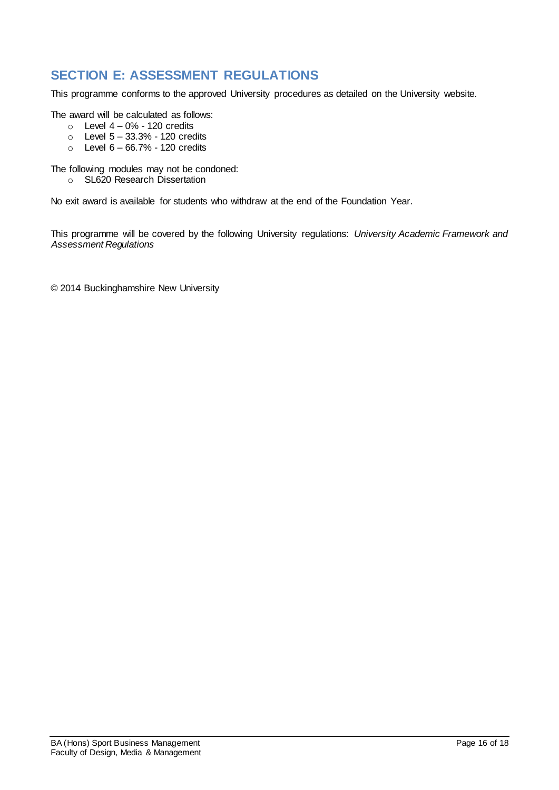# **SECTION E: ASSESSMENT REGULATIONS**

This programme conforms to the approved University procedures as detailed on the University website.

The award will be calculated as follows:

- $\circ$  Level 4 0% 120 credits
- $\circ$  Level  $5 33.3%$  120 credits
- $\circ$  Level  $6 66.7\%$  120 credits

The following modules may not be condoned:

o SL620 Research Dissertation

No exit award is available for students who withdraw at the end of the Foundation Year.

This programme will be covered by the following University regulations: *University Academic Framework and Assessment Regulations*

© 2014 Buckinghamshire New University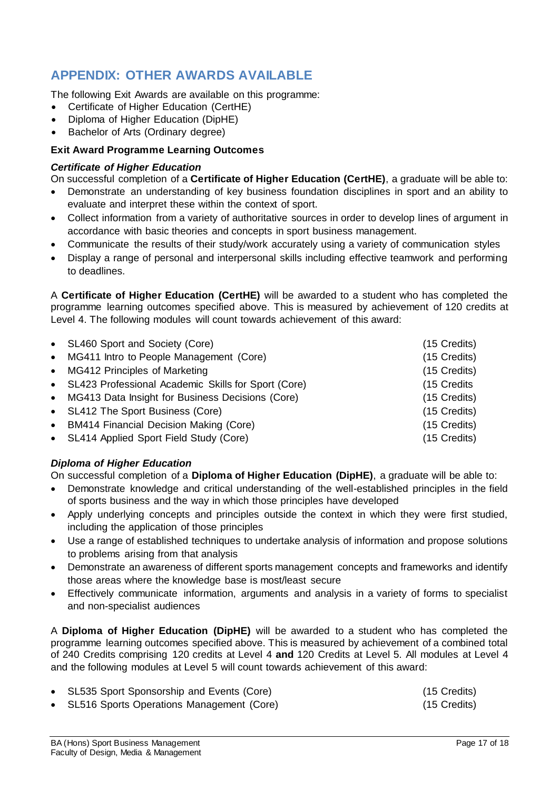# **APPENDIX: OTHER AWARDS AVAILABLE**

The following Exit Awards are available on this programme:

- Certificate of Higher Education (CertHE)
- Diploma of Higher Education (DipHE)
- Bachelor of Arts (Ordinary degree)

#### **Exit Award Programme Learning Outcomes**

#### *Certificate of Higher Education*

On successful completion of a **Certificate of Higher Education (CertHE)**, a graduate will be able to:

- Demonstrate an understanding of key business foundation disciplines in sport and an ability to evaluate and interpret these within the context of sport.
- Collect information from a variety of authoritative sources in order to develop lines of argument in accordance with basic theories and concepts in sport business management.
- Communicate the results of their study/work accurately using a variety of communication styles
- Display a range of personal and interpersonal skills including effective teamwork and performing to deadlines.

A **Certificate of Higher Education (CertHE)** will be awarded to a student who has completed the programme learning outcomes specified above. This is measured by achievement of 120 credits at Level 4. The following modules will count towards achievement of this award:

| • SL460 Sport and Society (Core)                      | (15 Credits) |
|-------------------------------------------------------|--------------|
| • MG411 Intro to People Management (Core)             | (15 Credits) |
| • MG412 Principles of Marketing                       | (15 Credits) |
| • SL423 Professional Academic Skills for Sport (Core) | (15 Credits  |
| • MG413 Data Insight for Business Decisions (Core)    | (15 Credits) |
| • SL412 The Sport Business (Core)                     | (15 Credits) |
| • BM414 Financial Decision Making (Core)              | (15 Credits) |
| • SL414 Applied Sport Field Study (Core)              | (15 Credits) |
|                                                       |              |

#### *Diploma of Higher Education*

On successful completion of a **Diploma of Higher Education (DipHE)**, a graduate will be able to:

- Demonstrate knowledge and critical understanding of the well-established principles in the field of sports business and the way in which those principles have developed
- Apply underlying concepts and principles outside the context in which they were first studied, including the application of those principles
- Use a range of established techniques to undertake analysis of information and propose solutions to problems arising from that analysis
- Demonstrate an awareness of different sports management concepts and frameworks and identify those areas where the knowledge base is most/least secure
- Effectively communicate information, arguments and analysis in a variety of forms to specialist and non-specialist audiences

A **Diploma of Higher Education (DipHE)** will be awarded to a student who has completed the programme learning outcomes specified above. This is measured by achievement of a combined total of 240 Credits comprising 120 credits at Level 4 **and** 120 Credits at Level 5. All modules at Level 4 and the following modules at Level 5 will count towards achievement of this award:

 SL535 Sport Sponsorship and Events (Core) (15 Credits) SL516 Sports Operations Management (Core) (15 Credits)